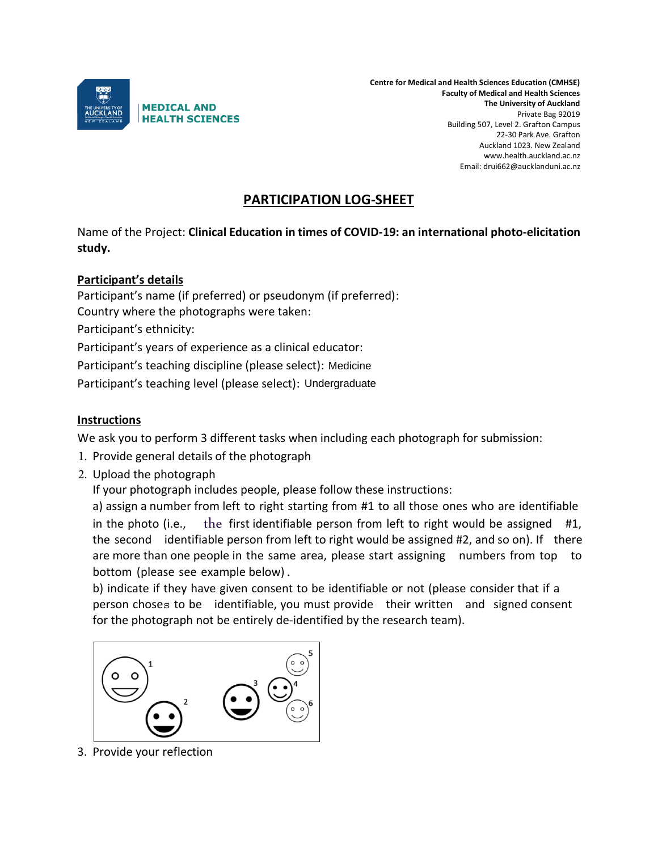

**Centre for Medical and Health Sciences Education (CMHSE) Faculty of Medical and Health Sciences The University of Auckland** Private Bag 92019 Building 507, Level 2. Grafton Campus 22-30 Park Ave. Grafton Auckland 1023. New Zealand www.health.auckland.ac.nz Email: drui662@aucklanduni.ac.nz

## **PARTICIPATION LOG-SHEET**

Name of the Project: **Clinical Education in times of COVID-19: an international photo-elicitation study.**

## **Participant's details**

Participant's name (if preferred) or pseudonym (if preferred): Country where the photographs were taken: Participant's ethnicity: Participant's years of experience as a clinical educator: Participant's teaching discipline (please select): Medicine Participant's teaching level (please select): Undergraduate

## **Instructions**

We ask you to perform 3 different tasks when including each photograph for submission:

- 1. Provide general details of the photograph
- 2. Upload the photograph

If your photograph includes people, please follow these instructions:

a) assign a number from left to right starting from #1 to all those ones who are identifiable in the photo (i.e., the first identifiable person from left to right would be assigned #1, the second identifiable person from left to right would be assigned #2, and so on). If there are more than one people in the same area, please start assigning numbers from top to bottom (please see example below).

b) indicate if they have given consent to be identifiable or not (please consider that if a person choses to be identifiable, you must provide their written and signed consent for the photograph not be entirely de-identified by the research team).



3. Provide your reflection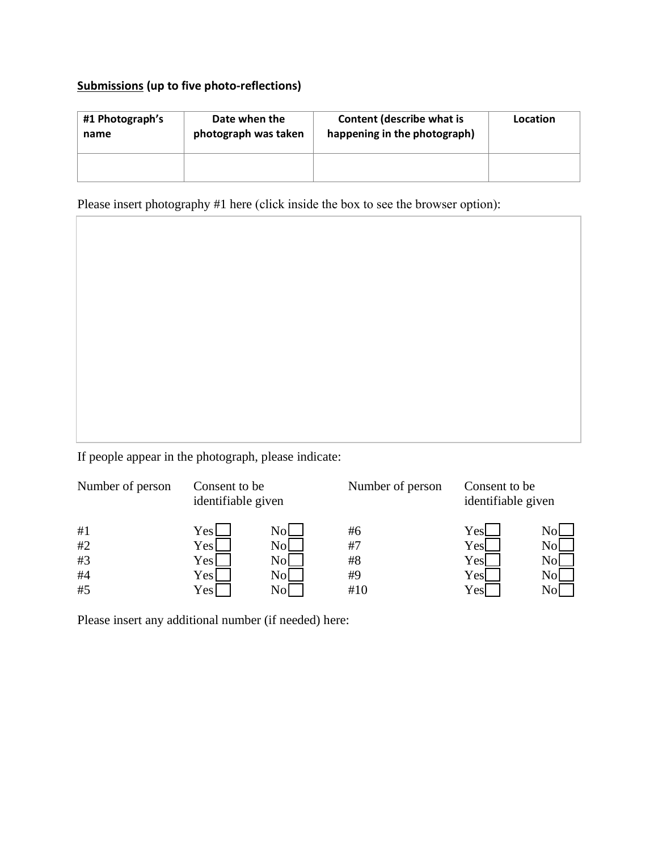## **Submissions (up to five photo-reflections)**

| #1 Photograph's | Date when the        | Content (describe what is    | Location |
|-----------------|----------------------|------------------------------|----------|
| name            | photograph was taken | happening in the photograph) |          |
|                 |                      |                              |          |

Please insert photography #1 here (click inside the box to see the browser option):

If people appear in the photograph, please indicate:

| Number of person           | Consent to be<br>identifiable given  |                                                            | Number of person            | Consent to be<br>identifiable given |         |
|----------------------------|--------------------------------------|------------------------------------------------------------|-----------------------------|-------------------------------------|---------|
| #1<br>#2<br>#3<br>#4<br>#5 | Yesl<br>Yesl<br>Yesl<br>Yesl<br>Yesl | Nol<br>N <sub>0</sub><br>N <sub>0</sub><br>Nol<br>$\rm No$ | #6<br>#7<br>#8<br>#9<br>#10 | Yesl<br>Yesl<br>Yesl<br>Yes<br>Yesl | N<br>No |

Please insert any additional number (if needed) here: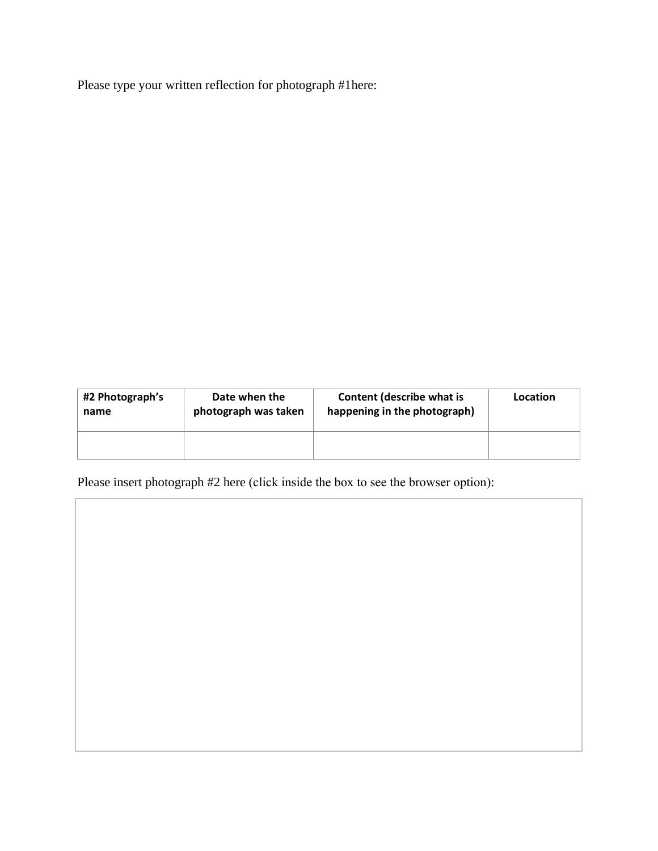Please type your written reflection for photograph #1here:

| #2 Photograph's | Date when the        | Content (describe what is    | Location |
|-----------------|----------------------|------------------------------|----------|
| name            | photograph was taken | happening in the photograph) |          |
|                 |                      |                              |          |

Please insert photograph #2 here (click inside the box to see the browser option):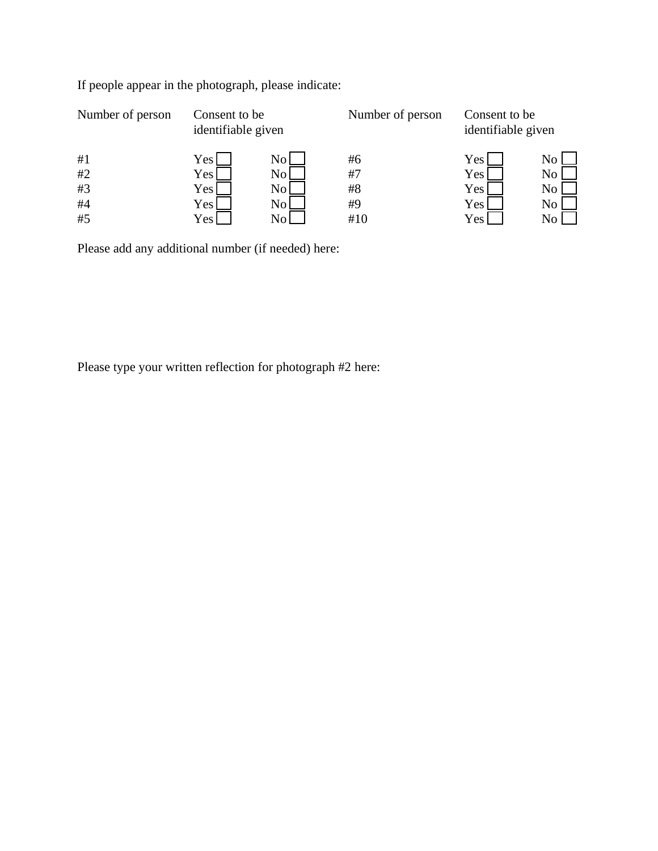|                          |                      | Number of person                    |                               |                                                          |
|--------------------------|----------------------|-------------------------------------|-------------------------------|----------------------------------------------------------|
| Yes<br>Yes<br>Yes<br>Yes | No<br>No<br>No<br>No | #6<br>#7<br>#8<br>#9                | Yes  <br>Yes  <br>Yes <br>Yes | No<br>N <sub>o</sub><br>N <sub>o</sub><br>N <sub>o</sub> |
| Yes                      | N <sub>0</sub>       | #10                                 | Yes <sub>l</sub>              | No                                                       |
|                          |                      | Consent to be<br>identifiable given |                               | Consent to be<br>identifiable given                      |

If people appear in the photograph, please indicate:

Please add any additional number (if needed) here:

Please type your written reflection for photograph #2 here: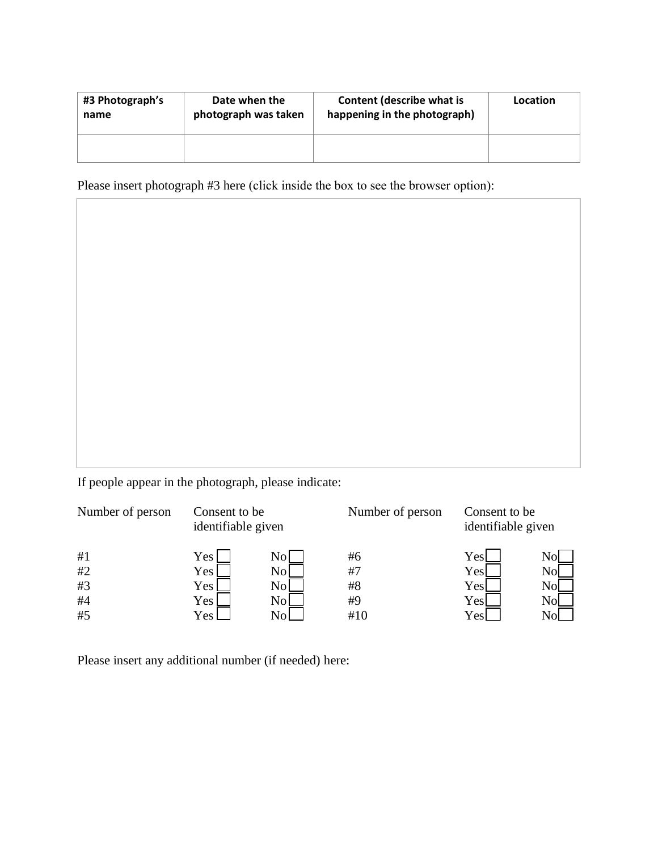| #3 Photograph's | Date when the        | Content (describe what is    | Location |
|-----------------|----------------------|------------------------------|----------|
| name            | photograph was taken | happening in the photograph) |          |
|                 |                      |                              |          |

Please insert photograph #3 here (click inside the box to see the browser option):

If people appear in the photograph, please indicate:

| Number of person           | Consent to be<br>identifiable given       |                                         | Number of person            | Consent to be<br>identifiable given |             |
|----------------------------|-------------------------------------------|-----------------------------------------|-----------------------------|-------------------------------------|-------------|
| #1<br>#2<br>#3<br>#4<br>#5 | Yes  <br>Yes l<br>Yes  <br>Yes l<br>Yes l | N0.<br>No<br>No<br>N <sub>0</sub><br>N٥ | #6<br>#7<br>#8<br>#9<br>#10 | Yesl<br>Yesl<br>Yesl<br>Yes<br>Yes  | N<br>N<br>N |

Please insert any additional number (if needed) here: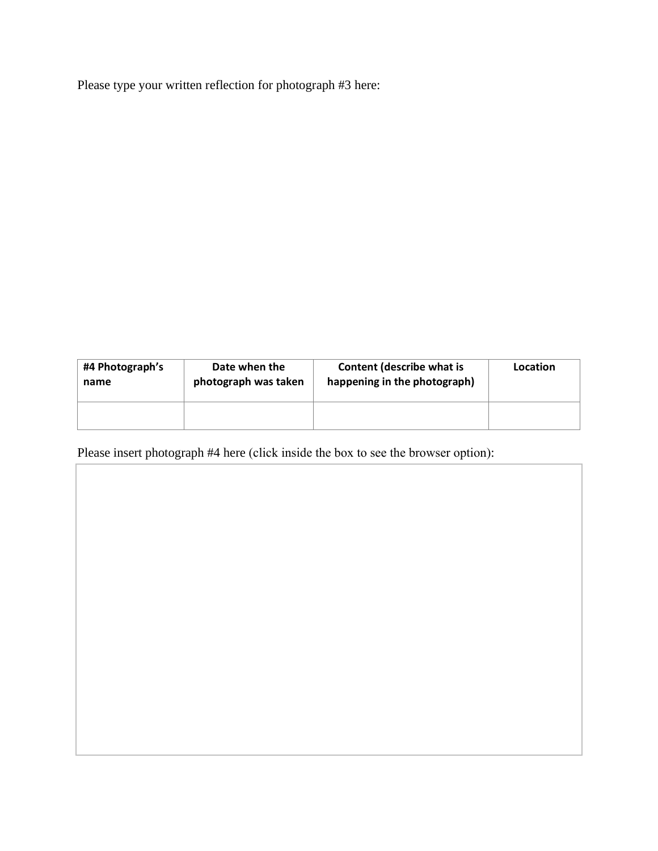Please type your written reflection for photograph #3 here:

| #4 Photograph's | Date when the        | <b>Content (describe what is</b> | Location |
|-----------------|----------------------|----------------------------------|----------|
| name            | photograph was taken | happening in the photograph)     |          |
|                 |                      |                                  |          |

Please insert photograph #4 here (click inside the box to see the browser option):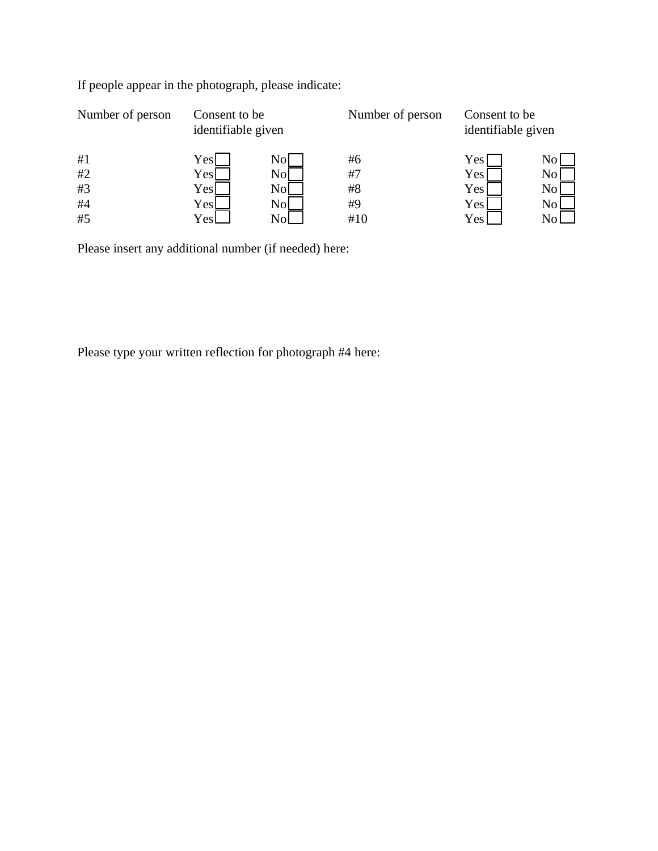|     |                | Number of person                    | Consent to be<br>identifiable given |    |
|-----|----------------|-------------------------------------|-------------------------------------|----|
| Yes | Nol            | #6                                  | $\rm Yes$ $\mid$                    | Nc |
| Yes | N <sub>o</sub> | #7                                  | Yes                                 | No |
| Yes | Nol            | #8                                  | Yes                                 | No |
| Yes | Nol            | #9                                  | Yes                                 | Nc |
| Yes | Nol            | #10                                 | <b>Yes</b>                          |    |
|     |                | Consent to be<br>identifiable given |                                     |    |

If people appear in the photograph, please indicate:

Please insert any additional number (if needed) here:

Please type your written reflection for photograph #4 here: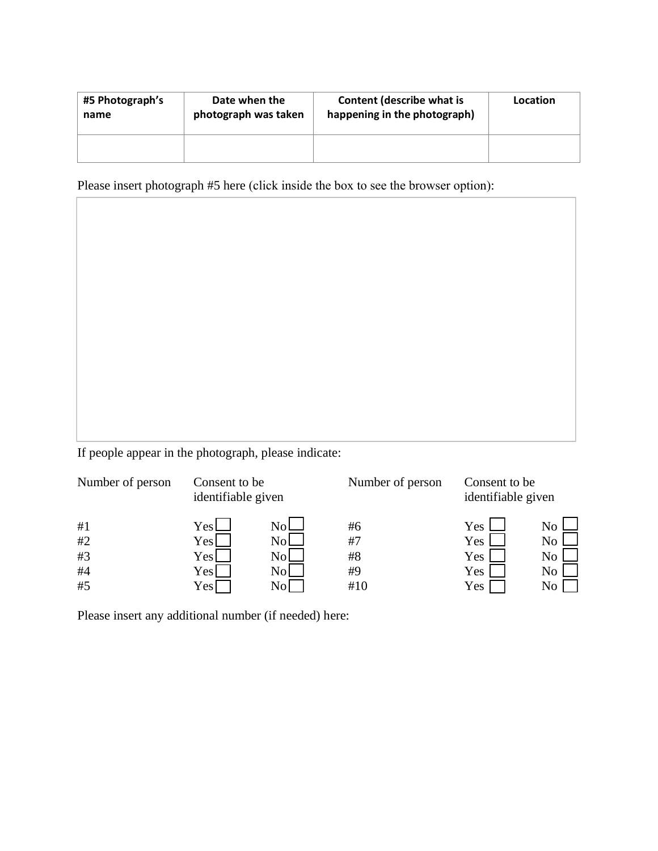| #5 Photograph's | Date when the        | Content (describe what is    | Location |
|-----------------|----------------------|------------------------------|----------|
| name            | photograph was taken | happening in the photograph) |          |
|                 |                      |                              |          |

Please insert photograph #5 here (click inside the box to see the browser option):

If people appear in the photograph, please indicate:

| Number of person | Consent to be<br>identifiable given |      | Number of person |            | Consent to be<br>identifiable given |
|------------------|-------------------------------------|------|------------------|------------|-------------------------------------|
| #1               | Yesl                                | Nol  | #6               | Yes        | $\rm N_{\Omega}$                    |
| #2               | Yesl                                | Nol  | #7               | Yes        | No                                  |
| #3               | Yesl                                | Nol  | #8               | <b>Yes</b> | N <sub>0</sub>                      |
| #4               | Yesl                                | Nol  | #9               | Yes        | N <sub>o</sub>                      |
| #5               | Yesl                                | No l | #10              | Yes        | N <sub>0</sub>                      |

Please insert any additional number (if needed) here: